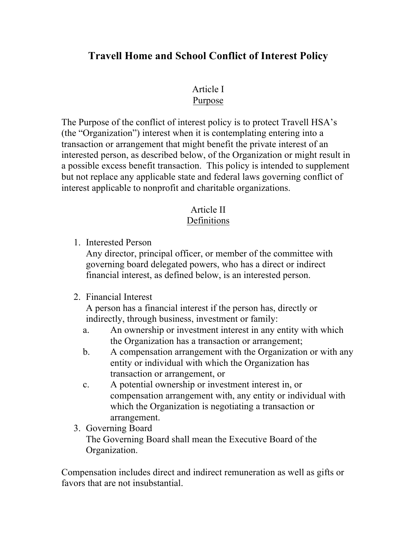# **Travell Home and School Conflict of Interest Policy**

# Article I

### Purpose

The Purpose of the conflict of interest policy is to protect Travell HSA's (the "Organization") interest when it is contemplating entering into a transaction or arrangement that might benefit the private interest of an interested person, as described below, of the Organization or might result in a possible excess benefit transaction. This policy is intended to supplement but not replace any applicable state and federal laws governing conflict of interest applicable to nonprofit and charitable organizations.

#### Article II Definitions

1. Interested Person

Any director, principal officer, or member of the committee with governing board delegated powers, who has a direct or indirect financial interest, as defined below, is an interested person.

### 2. Financial Interest

A person has a financial interest if the person has, directly or indirectly, through business, investment or family:

- a. An ownership or investment interest in any entity with which the Organization has a transaction or arrangement;
- b. A compensation arrangement with the Organization or with any entity or individual with which the Organization has transaction or arrangement, or
- c. A potential ownership or investment interest in, or compensation arrangement with, any entity or individual with which the Organization is negotiating a transaction or arrangement.
- 3. Governing Board The Governing Board shall mean the Executive Board of the Organization.

Compensation includes direct and indirect remuneration as well as gifts or favors that are not insubstantial.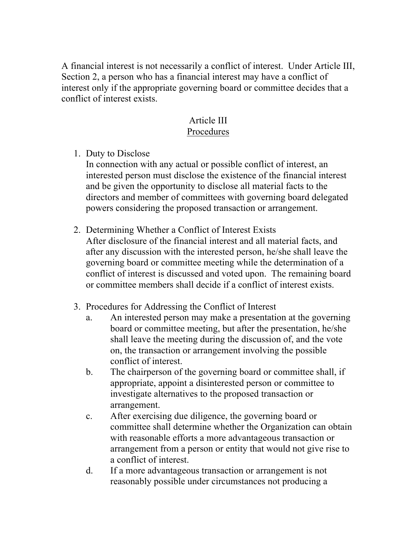A financial interest is not necessarily a conflict of interest. Under Article III, Section 2, a person who has a financial interest may have a conflict of interest only if the appropriate governing board or committee decides that a conflict of interest exists.

### Article III Procedures

1. Duty to Disclose

In connection with any actual or possible conflict of interest, an interested person must disclose the existence of the financial interest and be given the opportunity to disclose all material facts to the directors and member of committees with governing board delegated powers considering the proposed transaction or arrangement.

- 2. Determining Whether a Conflict of Interest Exists After disclosure of the financial interest and all material facts, and after any discussion with the interested person, he/she shall leave the governing board or committee meeting while the determination of a conflict of interest is discussed and voted upon. The remaining board or committee members shall decide if a conflict of interest exists.
- 3. Procedures for Addressing the Conflict of Interest
	- a. An interested person may make a presentation at the governing board or committee meeting, but after the presentation, he/she shall leave the meeting during the discussion of, and the vote on, the transaction or arrangement involving the possible conflict of interest.
	- b. The chairperson of the governing board or committee shall, if appropriate, appoint a disinterested person or committee to investigate alternatives to the proposed transaction or arrangement.
	- c. After exercising due diligence, the governing board or committee shall determine whether the Organization can obtain with reasonable efforts a more advantageous transaction or arrangement from a person or entity that would not give rise to a conflict of interest.
	- d. If a more advantageous transaction or arrangement is not reasonably possible under circumstances not producing a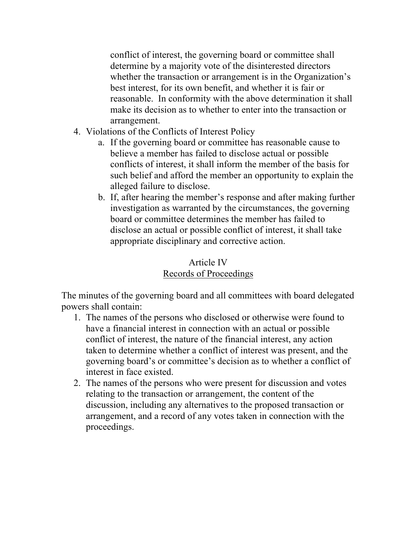conflict of interest, the governing board or committee shall determine by a majority vote of the disinterested directors whether the transaction or arrangement is in the Organization's best interest, for its own benefit, and whether it is fair or reasonable. In conformity with the above determination it shall make its decision as to whether to enter into the transaction or arrangement.

- 4. Violations of the Conflicts of Interest Policy
	- a. If the governing board or committee has reasonable cause to believe a member has failed to disclose actual or possible conflicts of interest, it shall inform the member of the basis for such belief and afford the member an opportunity to explain the alleged failure to disclose.
	- b. If, after hearing the member's response and after making further investigation as warranted by the circumstances, the governing board or committee determines the member has failed to disclose an actual or possible conflict of interest, it shall take appropriate disciplinary and corrective action.

# Article IV Records of Proceedings

The minutes of the governing board and all committees with board delegated powers shall contain:

- 1. The names of the persons who disclosed or otherwise were found to have a financial interest in connection with an actual or possible conflict of interest, the nature of the financial interest, any action taken to determine whether a conflict of interest was present, and the governing board's or committee's decision as to whether a conflict of interest in face existed.
- 2. The names of the persons who were present for discussion and votes relating to the transaction or arrangement, the content of the discussion, including any alternatives to the proposed transaction or arrangement, and a record of any votes taken in connection with the proceedings.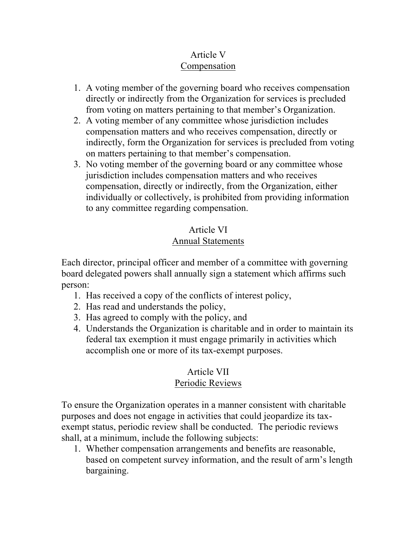## Article V Compensation

- 1. A voting member of the governing board who receives compensation directly or indirectly from the Organization for services is precluded from voting on matters pertaining to that member's Organization.
- 2. A voting member of any committee whose jurisdiction includes compensation matters and who receives compensation, directly or indirectly, form the Organization for services is precluded from voting on matters pertaining to that member's compensation.
- 3. No voting member of the governing board or any committee whose jurisdiction includes compensation matters and who receives compensation, directly or indirectly, from the Organization, either individually or collectively, is prohibited from providing information to any committee regarding compensation.

# Article VI Annual Statements

Each director, principal officer and member of a committee with governing board delegated powers shall annually sign a statement which affirms such person:

- 1. Has received a copy of the conflicts of interest policy,
- 2. Has read and understands the policy,
- 3. Has agreed to comply with the policy, and
- 4. Understands the Organization is charitable and in order to maintain its federal tax exemption it must engage primarily in activities which accomplish one or more of its tax-exempt purposes.

#### Article VII Periodic Reviews

To ensure the Organization operates in a manner consistent with charitable purposes and does not engage in activities that could jeopardize its taxexempt status, periodic review shall be conducted. The periodic reviews shall, at a minimum, include the following subjects:

1. Whether compensation arrangements and benefits are reasonable, based on competent survey information, and the result of arm's length bargaining.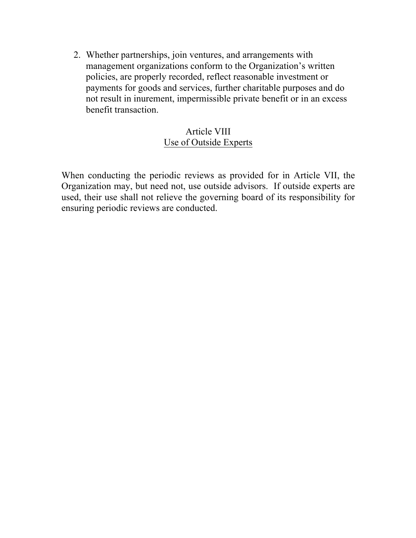2. Whether partnerships, join ventures, and arrangements with management organizations conform to the Organization's written policies, are properly recorded, reflect reasonable investment or payments for goods and services, further charitable purposes and do not result in inurement, impermissible private benefit or in an excess benefit transaction.

### Article VIII Use of Outside Experts

When conducting the periodic reviews as provided for in Article VII, the Organization may, but need not, use outside advisors. If outside experts are used, their use shall not relieve the governing board of its responsibility for ensuring periodic reviews are conducted.